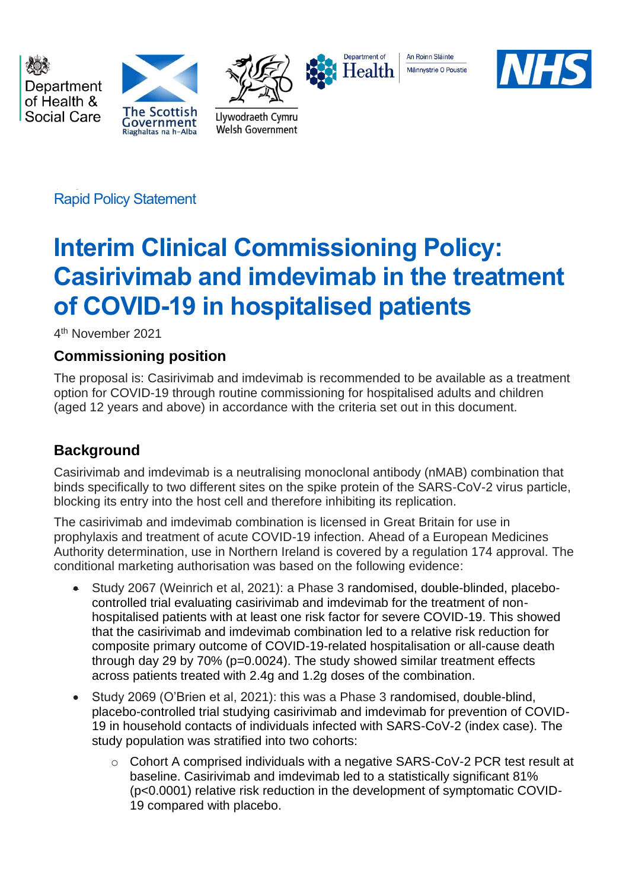Department of Health & Social Care





Llywodraeth Cymru

Welsh Government



An Roinn Sláinte Männystrie O Poustie



Rapid Policy Statement

# **Interim Clinical Commissioning Policy: Casirivimab and imdevimab in the treatment of COVID-19 in hospitalised patients**

4 th November 2021

# **Commissioning position**

The proposal is: Casirivimab and imdevimab is recommended to be available as a treatment option for COVID-19 through routine commissioning for hospitalised adults and children (aged 12 years and above) in accordance with the criteria set out in this document.

# **Background**

Casirivimab and imdevimab is a neutralising monoclonal antibody (nMAB) combination that binds specifically to two different sites on the spike protein of the SARS-CoV-2 virus particle, blocking its entry into the host cell and therefore inhibiting its replication.

The casirivimab and imdevimab combination is licensed in Great Britain for use in prophylaxis and treatment of acute COVID-19 infection. Ahead of a European Medicines Authority determination, use in Northern Ireland is covered by a regulation 174 approval. The conditional marketing authorisation was based on the following evidence:

- Study 2067 (Weinrich et al, 2021): a Phase 3 randomised, double-blinded, placebocontrolled trial evaluating casirivimab and imdevimab for the treatment of nonhospitalised patients with at least one risk factor for severe COVID-19. This showed that the casirivimab and imdevimab combination led to a relative risk reduction for composite primary outcome of COVID-19-related hospitalisation or all-cause death through day 29 by 70% (p=0.0024). The study showed similar treatment effects across patients treated with 2.4g and 1.2g doses of the combination.
- Study 2069 (O'Brien et al, 2021): this was a Phase 3 randomised, double-blind, placebo-controlled trial studying casirivimab and imdevimab for prevention of COVID-19 in household contacts of individuals infected with SARS-CoV-2 (index case). The study population was stratified into two cohorts:
	- $\circ$  Cohort A comprised individuals with a negative SARS-CoV-2 PCR test result at baseline. Casirivimab and imdevimab led to a statistically significant 81% (p<0.0001) relative risk reduction in the development of symptomatic COVID-19 compared with placebo.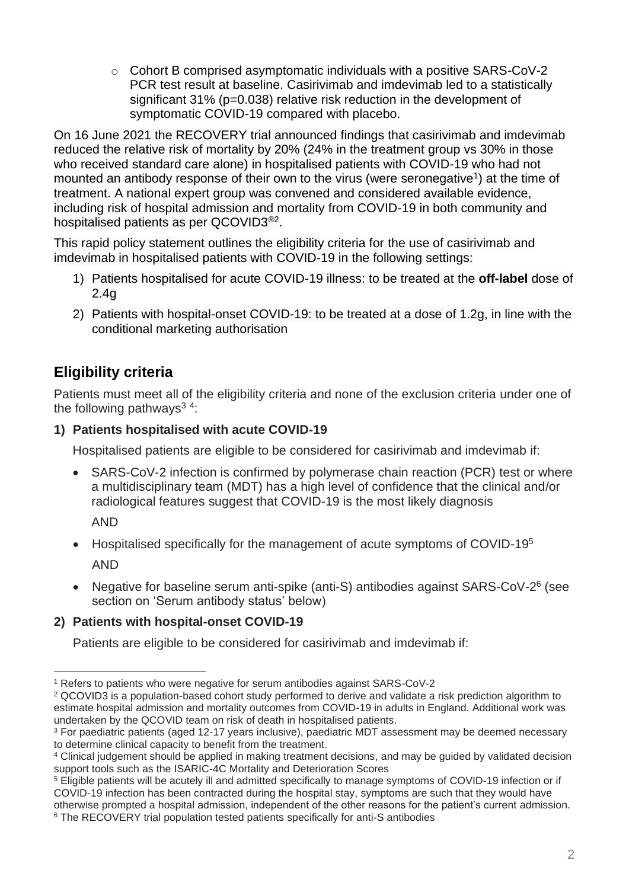$\circ$  Cohort B comprised asymptomatic individuals with a positive SARS-CoV-2 PCR test result at baseline. Casirivimab and imdevimab led to a statistically significant 31% (p=0.038) relative risk reduction in the development of symptomatic COVID-19 compared with placebo.

On 16 June 2021 the RECOVERY trial announced findings that casirivimab and imdevimab reduced the relative risk of mortality by 20% (24% in the treatment group vs 30% in those who received standard care alone) in hospitalised patients with COVID-19 who had not mounted an antibody response of their own to the virus (were seronegative<sup>1</sup>) at the time of treatment. A national expert group was convened and considered available evidence, including risk of hospital admission and mortality from COVID-19 in both community and hospitalised patients as per QCOVID3<sup>®2</sup>.

This rapid policy statement outlines the eligibility criteria for the use of casirivimab and imdevimab in hospitalised patients with COVID-19 in the following settings:

- 1) Patients hospitalised for acute COVID-19 illness: to be treated at the **off-label** dose of 2.4g
- 2) Patients with hospital-onset COVID-19: to be treated at a dose of 1.2g, in line with the conditional marketing authorisation

# **Eligibility criteria**

Patients must meet all of the eligibility criteria and none of the exclusion criteria under one of the following pathways<sup>34</sup>:

# **1) Patients hospitalised with acute COVID-19**

Hospitalised patients are eligible to be considered for casirivimab and imdevimab if:

• SARS-CoV-2 infection is confirmed by polymerase chain reaction (PCR) test or where a multidisciplinary team (MDT) has a high level of confidence that the clinical and/or radiological features suggest that COVID-19 is the most likely diagnosis

AND

- Hospitalised specifically for the management of acute symptoms of COVID-19<sup>5</sup> AND
- Negative for baseline serum anti-spike (anti-S) antibodies against SARS-CoV-2<sup>6</sup> (see section on 'Serum antibody status' below)

# **2) Patients with hospital-onset COVID-19**

Patients are eligible to be considered for casirivimab and imdevimab if:

<sup>1</sup> Refers to patients who were negative for serum antibodies against SARS-CoV-2

<sup>2</sup> QCOVID3 is a population-based cohort study performed to derive and validate a risk prediction algorithm to estimate hospital admission and mortality outcomes from COVID-19 in adults in England. Additional work was undertaken by the QCOVID team on risk of death in hospitalised patients.

<sup>3</sup> For paediatric patients (aged 12-17 years inclusive), paediatric MDT assessment may be deemed necessary to determine clinical capacity to benefit from the treatment.

<sup>4</sup> Clinical judgement should be applied in making treatment decisions, and may be guided by validated decision support tools such as the ISARIC-4C Mortality and Deterioration Scores

<sup>5</sup> Eligible patients will be acutely ill and admitted specifically to manage symptoms of COVID-19 infection or if COVID-19 infection has been contracted during the hospital stay, symptoms are such that they would have otherwise prompted a hospital admission, independent of the other reasons for the patient's current admission.

<sup>6</sup> The RECOVERY trial population tested patients specifically for anti-S antibodies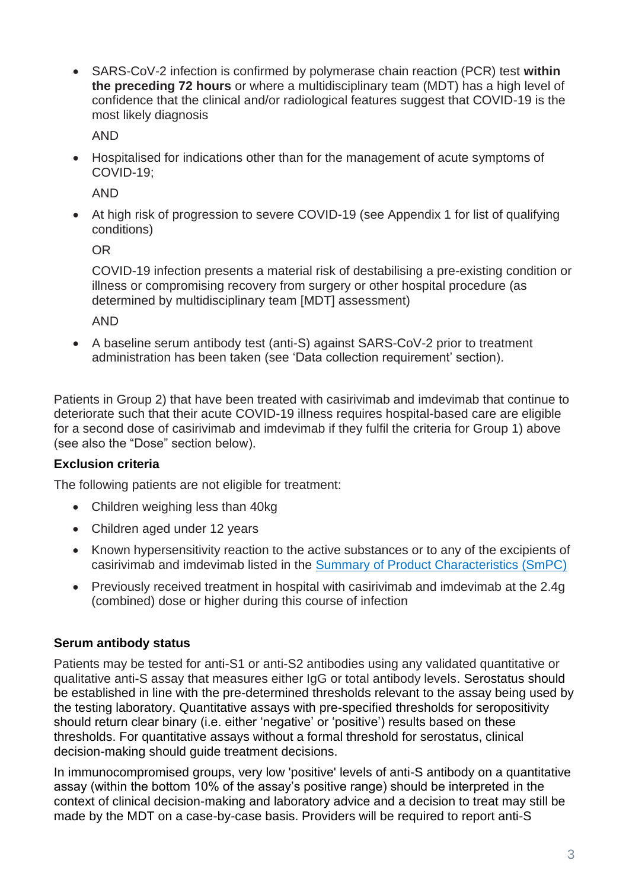• SARS-CoV-2 infection is confirmed by polymerase chain reaction (PCR) test **within the preceding 72 hours** or where a multidisciplinary team (MDT) has a high level of confidence that the clinical and/or radiological features suggest that COVID-19 is the most likely diagnosis

AND

• Hospitalised for indications other than for the management of acute symptoms of COVID-19;

AND

• At high risk of progression to severe COVID-19 (see Appendix 1 for list of qualifying conditions)

OR

COVID-19 infection presents a material risk of destabilising a pre-existing condition or illness or compromising recovery from surgery or other hospital procedure (as determined by multidisciplinary team [MDT] assessment)

AND

• A baseline serum antibody test (anti-S) against SARS-CoV-2 prior to treatment administration has been taken (see 'Data collection requirement' section).

Patients in Group 2) that have been treated with casirivimab and imdevimab that continue to deteriorate such that their acute COVID-19 illness requires hospital-based care are eligible for a second dose of casirivimab and imdevimab if they fulfil the criteria for Group 1) above (see also the "Dose" section below).

# **Exclusion criteria**

The following patients are not eligible for treatment:

- Children weighing less than 40kg
- Children aged under 12 years
- Known hypersensitivity reaction to the active substances or to any of the excipients of casirivimab and imdevimab listed in the [Summary of Product Characteristics \(SmPC\)](https://assets.publishing.service.gov.uk/government/uploads/system/uploads/attachment_data/file/1012415/revised-gb-spc-ronapreve-clean-120mg-ml12aug2021docx.pdf)
- Previously received treatment in hospital with casirivimab and imdevimab at the 2.4g (combined) dose or higher during this course of infection

# **Serum antibody status**

Patients may be tested for anti-S1 or anti-S2 antibodies using any validated quantitative or qualitative anti-S assay that measures either IgG or total antibody levels. Serostatus should be established in line with the pre-determined thresholds relevant to the assay being used by the testing laboratory. Quantitative assays with pre-specified thresholds for seropositivity should return clear binary (i.e. either 'negative' or 'positive') results based on these thresholds. For quantitative assays without a formal threshold for serostatus, clinical decision-making should guide treatment decisions.

In immunocompromised groups, very low 'positive' levels of anti-S antibody on a quantitative assay (within the bottom 10% of the assay's positive range) should be interpreted in the context of clinical decision-making and laboratory advice and a decision to treat may still be made by the MDT on a case-by-case basis. Providers will be required to report anti-S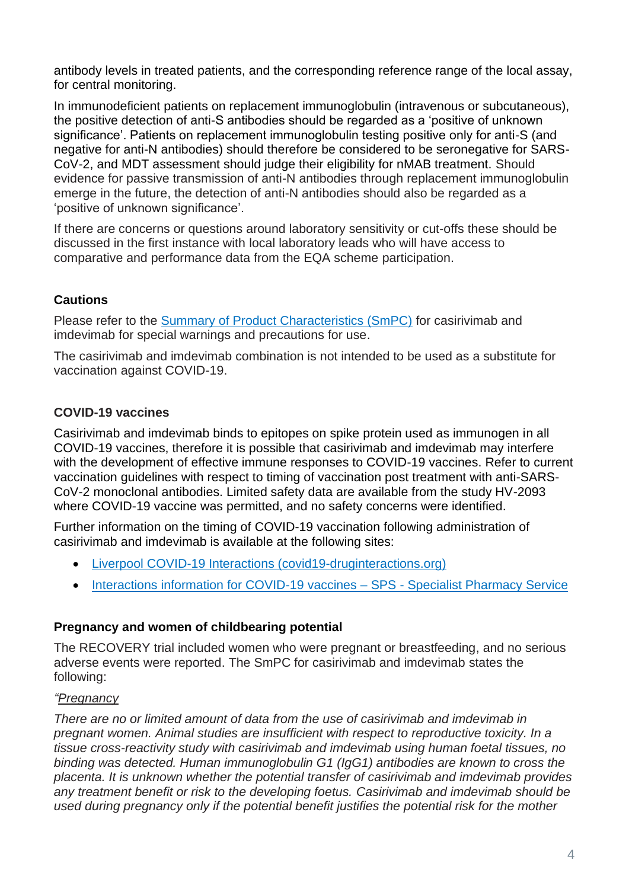antibody levels in treated patients, and the corresponding reference range of the local assay, for central monitoring.

In immunodeficient patients on replacement immunoglobulin (intravenous or subcutaneous), the positive detection of anti-S antibodies should be regarded as a 'positive of unknown significance'. Patients on replacement immunoglobulin testing positive only for anti-S (and negative for anti-N antibodies) should therefore be considered to be seronegative for SARS-CoV-2, and MDT assessment should judge their eligibility for nMAB treatment. Should evidence for passive transmission of anti-N antibodies through replacement immunoglobulin emerge in the future, the detection of anti-N antibodies should also be regarded as a 'positive of unknown significance'.

If there are concerns or questions around laboratory sensitivity or cut-offs these should be discussed in the first instance with local laboratory leads who will have access to comparative and performance data from the EQA scheme participation.

# **Cautions**

Please refer to the **Summary of Product Characteristics (SmPC)** for casirivimab and imdevimab for special warnings and precautions for use.

The casirivimab and imdevimab combination is not intended to be used as a substitute for vaccination against COVID-19.

# **COVID-19 vaccines**

Casirivimab and imdevimab binds to epitopes on spike protein used as immunogen in all COVID-19 vaccines, therefore it is possible that casirivimab and imdevimab may interfere with the development of effective immune responses to COVID-19 vaccines. Refer to current vaccination guidelines with respect to timing of vaccination post treatment with anti-SARS-CoV-2 monoclonal antibodies. Limited safety data are available from the study HV-2093 where COVID-19 vaccine was permitted, and no safety concerns were identified.

Further information on the timing of COVID-19 vaccination following administration of casirivimab and imdevimab is available at the following sites:

- [Liverpool COVID-19 Interactions \(covid19-druginteractions.org\)](https://www.covid19-druginteractions.org/checker)
- [Interactions information for COVID-19 vaccines –](https://www.sps.nhs.uk/articles/interactions-information-for-covid-19-vaccines/) SPS Specialist Pharmacy Service

# **Pregnancy and women of childbearing potential**

The RECOVERY trial included women who were pregnant or breastfeeding, and no serious adverse events were reported. The SmPC for casirivimab and imdevimab states the following:

# *"Pregnancy*

*There are no or limited amount of data from the use of casirivimab and imdevimab in pregnant women. Animal studies are insufficient with respect to reproductive toxicity. In a tissue cross-reactivity study with casirivimab and imdevimab using human foetal tissues, no binding was detected. Human immunoglobulin G1 (IgG1) antibodies are known to cross the placenta. It is unknown whether the potential transfer of casirivimab and imdevimab provides any treatment benefit or risk to the developing foetus. Casirivimab and imdevimab should be used during pregnancy only if the potential benefit justifies the potential risk for the mother*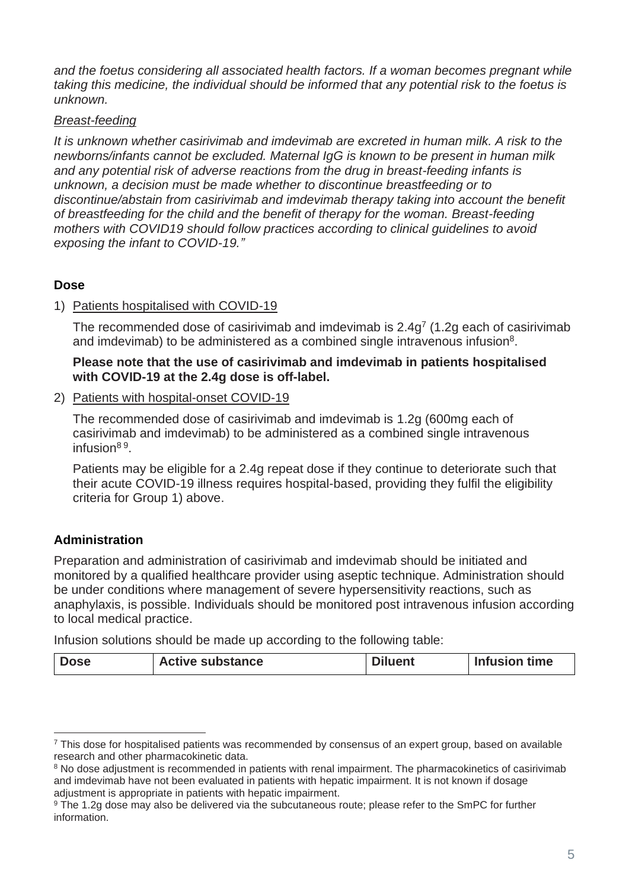*and the foetus considering all associated health factors. If a woman becomes pregnant while taking this medicine, the individual should be informed that any potential risk to the foetus is unknown.*

## *Breast-feeding*

*It is unknown whether casirivimab and imdevimab are excreted in human milk. A risk to the newborns/infants cannot be excluded. Maternal IgG is known to be present in human milk and any potential risk of adverse reactions from the drug in breast-feeding infants is unknown, a decision must be made whether to discontinue breastfeeding or to discontinue/abstain from casirivimab and imdevimab therapy taking into account the benefit of breastfeeding for the child and the benefit of therapy for the woman. Breast-feeding mothers with COVID19 should follow practices according to clinical guidelines to avoid exposing the infant to COVID-19."*

# **Dose**

#### 1) Patients hospitalised with COVID-19

The recommended dose of casirivimab and imdevimab is  $2.4g<sup>7</sup>$  (1.2g each of casirivimab and imdevimab) to be administered as a combined single intravenous infusion $8$ .

#### **Please note that the use of casirivimab and imdevimab in patients hospitalised with COVID-19 at the 2.4g dose is off-label.**

2) Patients with hospital-onset COVID-19

The recommended dose of casirivimab and imdevimab is 1.2g (600mg each of casirivimab and imdevimab) to be administered as a combined single intravenous infusion<sup>89</sup>.

Patients may be eligible for a 2.4g repeat dose if they continue to deteriorate such that their acute COVID-19 illness requires hospital-based, providing they fulfil the eligibility criteria for Group 1) above.

# **Administration**

Preparation and administration of casirivimab and imdevimab should be initiated and monitored by a qualified healthcare provider using aseptic technique. Administration should be under conditions where management of severe hypersensitivity reactions, such as anaphylaxis, is possible. Individuals should be monitored post intravenous infusion according to local medical practice.

Infusion solutions should be made up according to the following table:

| <b>Active substance</b><br><b>Dose</b> | <b>Diluent</b> | Infusion time |
|----------------------------------------|----------------|---------------|
|----------------------------------------|----------------|---------------|

<sup>&</sup>lt;sup>7</sup> This dose for hospitalised patients was recommended by consensus of an expert group, based on available research and other pharmacokinetic data.

<sup>&</sup>lt;sup>8</sup> No dose adjustment is recommended in patients with renal impairment. The pharmacokinetics of casirivimab and imdevimab have not been evaluated in patients with hepatic impairment. It is not known if dosage adjustment is appropriate in patients with hepatic impairment.

<sup>&</sup>lt;sup>9</sup> The 1.2g dose may also be delivered via the subcutaneous route; please refer to the SmPC for further information.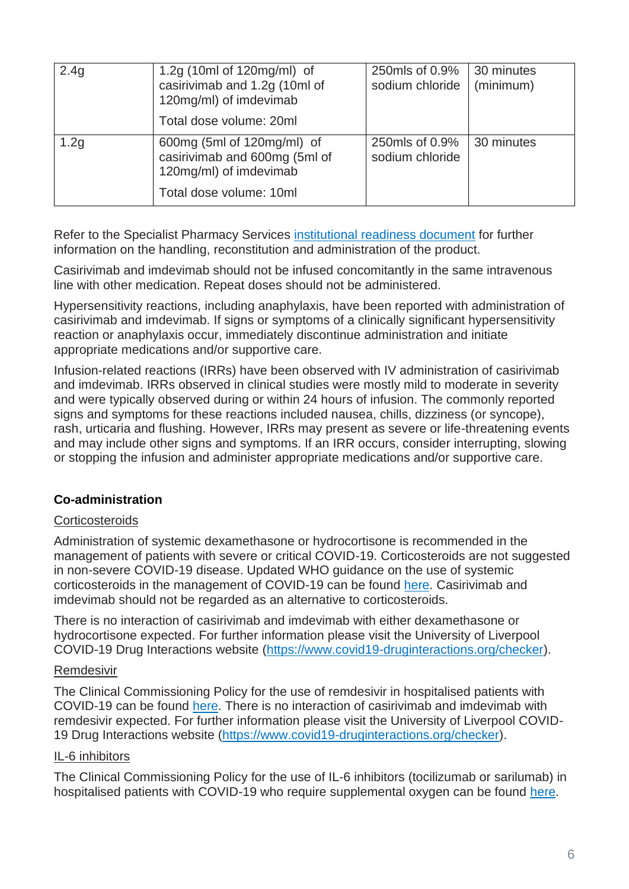| 2.4g             | 1.2g $(10ml of 120mg/ml)$ of<br>casirivimab and 1.2g (10ml of<br>120mg/ml) of imdevimab<br>Total dose volume: 20ml | 250mls of 0.9%<br>sodium chloride | 30 minutes<br>(minimum) |
|------------------|--------------------------------------------------------------------------------------------------------------------|-----------------------------------|-------------------------|
| 1.2 <sub>g</sub> | 600mg (5ml of 120mg/ml) of<br>casirivimab and 600mg (5ml of<br>120mg/ml) of imdevimab<br>Total dose volume: 10ml   | 250mls of 0.9%<br>sodium chloride | 30 minutes              |

Refer to the Specialist Pharmacy Services [institutional readiness document](https://www.sps.nhs.uk/home/guidance/covid-19-treatments/neutralising-monoclonal-antibodies/casirivimab-and-imdevimab) for further information on the handling, reconstitution and administration of the product.

Casirivimab and imdevimab should not be infused concomitantly in the same intravenous line with other medication. Repeat doses should not be administered.

Hypersensitivity reactions, including anaphylaxis, have been reported with administration of casirivimab and imdevimab. If signs or symptoms of a clinically significant hypersensitivity reaction or anaphylaxis occur, immediately discontinue administration and initiate appropriate medications and/or supportive care.

Infusion-related reactions (IRRs) have been observed with IV administration of casirivimab and imdevimab. IRRs observed in clinical studies were mostly mild to moderate in severity and were typically observed during or within 24 hours of infusion. The commonly reported signs and symptoms for these reactions included nausea, chills, dizziness (or syncope), rash, urticaria and flushing. However, IRRs may present as severe or life-threatening events and may include other signs and symptoms. If an IRR occurs, consider interrupting, slowing or stopping the infusion and administer appropriate medications and/or supportive care.

# **Co-administration**

# **Corticosteroids**

Administration of systemic dexamethasone or hydrocortisone is recommended in the management of patients with severe or critical COVID-19. Corticosteroids are not suggested in non-severe COVID-19 disease. Updated WHO guidance on the use of systemic corticosteroids in the management of COVID-19 can be found [here.](https://www.who.int/publications/i/item/WHO-2019-nCoV-Corticosteroids-2020.1) Casirivimab and imdevimab should not be regarded as an alternative to corticosteroids.

There is no interaction of casirivimab and imdevimab with either dexamethasone or hydrocortisone expected. For further information please visit the University of Liverpool COVID-19 Drug Interactions website [\(https://www.covid19-druginteractions.org/checker\)](https://www.covid19-druginteractions.org/checker).

#### Remdesivir

The Clinical Commissioning Policy for the use of remdesivir in hospitalised patients with COVID-19 can be found [here.](https://www.england.nhs.uk/coronavirus/wp-content/uploads/sites/52/2020/07/C1322-interim-cc-policy-remdesivir-for-people-hospitalised-with-covid-19-v3.pdf) There is no interaction of casirivimab and imdevimab with remdesivir expected. For further information please visit the University of Liverpool COVID-19 Drug Interactions website [\(https://www.covid19-druginteractions.org/checker\)](https://www.covid19-druginteractions.org/checker).

# IL-6 inhibitors

The Clinical Commissioning Policy for the use of IL-6 inhibitors (tocilizumab or sarilumab) in hospitalised patients with COVID-19 who require supplemental oxygen can be found [here.](https://www.cas.mhra.gov.uk/ViewandAcknowledgment/ViewAttachment.aspx?Attachment_id=103833)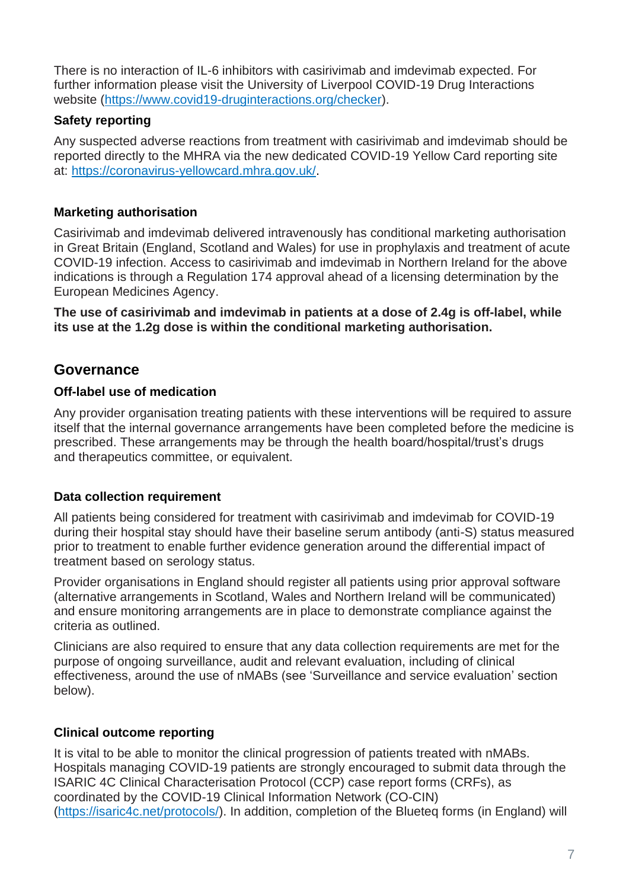There is no interaction of IL-6 inhibitors with casirivimab and imdevimab expected. For further information please visit the University of Liverpool COVID-19 Drug Interactions website [\(https://www.covid19-druginteractions.org/checker\)](https://www.covid19-druginteractions.org/checker).

# **Safety reporting**

Any suspected adverse reactions from treatment with casirivimab and imdevimab should be reported directly to the MHRA via the new dedicated COVID-19 Yellow Card reporting site at: [https://coronavirus-yellowcard.mhra.gov.uk/.](https://coronavirus-yellowcard.mhra.gov.uk/)

# **Marketing authorisation**

Casirivimab and imdevimab delivered intravenously has conditional marketing authorisation in Great Britain (England, Scotland and Wales) for use in prophylaxis and treatment of acute COVID-19 infection. Access to casirivimab and imdevimab in Northern Ireland for the above indications is through a Regulation 174 approval ahead of a licensing determination by the European Medicines Agency.

**The use of casirivimab and imdevimab in patients at a dose of 2.4g is off-label, while its use at the 1.2g dose is within the conditional marketing authorisation.**

# **Governance**

# **Off-label use of medication**

Any provider organisation treating patients with these interventions will be required to assure itself that the internal governance arrangements have been completed before the medicine is prescribed. These arrangements may be through the health board/hospital/trust's drugs and therapeutics committee, or equivalent.

# **Data collection requirement**

All patients being considered for treatment with casirivimab and imdevimab for COVID-19 during their hospital stay should have their baseline serum antibody (anti-S) status measured prior to treatment to enable further evidence generation around the differential impact of treatment based on serology status.

Provider organisations in England should register all patients using prior approval software (alternative arrangements in Scotland, Wales and Northern Ireland will be communicated) and ensure monitoring arrangements are in place to demonstrate compliance against the criteria as outlined.

Clinicians are also required to ensure that any data collection requirements are met for the purpose of ongoing surveillance, audit and relevant evaluation, including of clinical effectiveness, around the use of nMABs (see 'Surveillance and service evaluation' section below).

# **Clinical outcome reporting**

It is vital to be able to monitor the clinical progression of patients treated with nMABs. Hospitals managing COVID-19 patients are strongly encouraged to submit data through the ISARIC 4C Clinical Characterisation Protocol (CCP) case report forms (CRFs), as coordinated by the COVID-19 Clinical Information Network (CO-CIN) [\(https://isaric4c.net/protocols/\)](https://isaric4c.net/protocols/). In addition, completion of the Blueteq forms (in England) will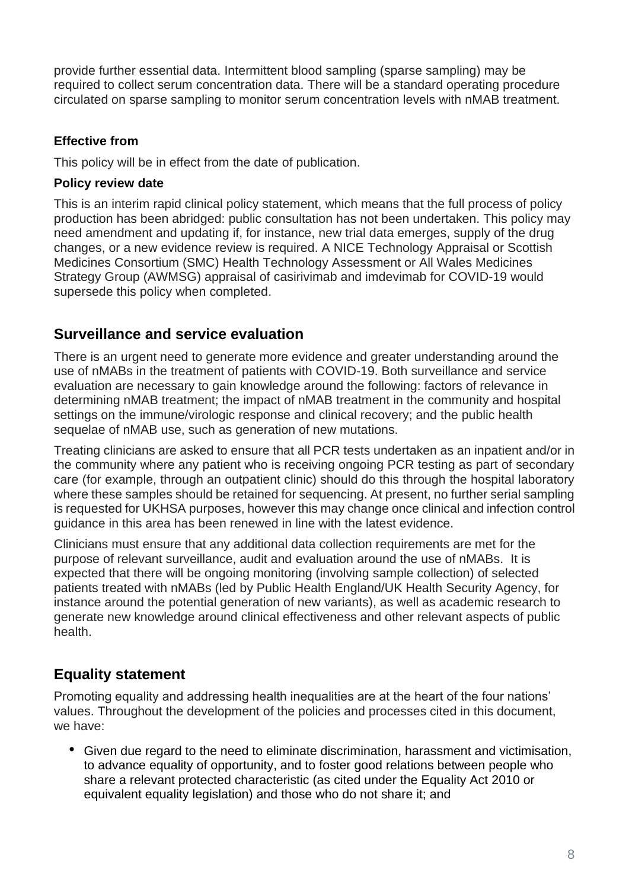provide further essential data. Intermittent blood sampling (sparse sampling) may be required to collect serum concentration data. There will be a standard operating procedure circulated on sparse sampling to monitor serum concentration levels with nMAB treatment.

# **Effective from**

This policy will be in effect from the date of publication.

## **Policy review date**

This is an interim rapid clinical policy statement, which means that the full process of policy production has been abridged: public consultation has not been undertaken. This policy may need amendment and updating if, for instance, new trial data emerges, supply of the drug changes, or a new evidence review is required. A NICE Technology Appraisal or Scottish Medicines Consortium (SMC) Health Technology Assessment or All Wales Medicines Strategy Group (AWMSG) appraisal of casirivimab and imdevimab for COVID-19 would supersede this policy when completed.

# **Surveillance and service evaluation**

There is an urgent need to generate more evidence and greater understanding around the use of nMABs in the treatment of patients with COVID-19. Both surveillance and service evaluation are necessary to gain knowledge around the following: factors of relevance in determining nMAB treatment; the impact of nMAB treatment in the community and hospital settings on the immune/virologic response and clinical recovery; and the public health sequelae of nMAB use, such as generation of new mutations.

Treating clinicians are asked to ensure that all PCR tests undertaken as an inpatient and/or in the community where any patient who is receiving ongoing PCR testing as part of secondary care (for example, through an outpatient clinic) should do this through the hospital laboratory where these samples should be retained for sequencing. At present, no further serial sampling is requested for UKHSA purposes, however this may change once clinical and infection control guidance in this area has been renewed in line with the latest evidence.

Clinicians must ensure that any additional data collection requirements are met for the purpose of relevant surveillance, audit and evaluation around the use of nMABs. It is expected that there will be ongoing monitoring (involving sample collection) of selected patients treated with nMABs (led by Public Health England/UK Health Security Agency, for instance around the potential generation of new variants), as well as academic research to generate new knowledge around clinical effectiveness and other relevant aspects of public health.

# **Equality statement**

Promoting equality and addressing health inequalities are at the heart of the four nations' values. Throughout the development of the policies and processes cited in this document, we have:

• Given due regard to the need to eliminate discrimination, harassment and victimisation, to advance equality of opportunity, and to foster good relations between people who share a relevant protected characteristic (as cited under the Equality Act 2010 or equivalent equality legislation) and those who do not share it; and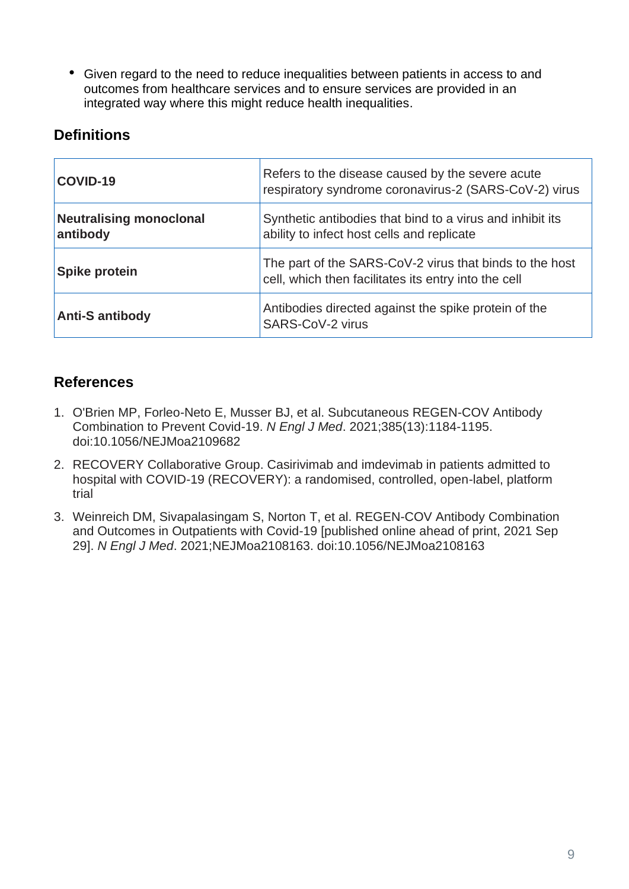• Given regard to the need to reduce inequalities between patients in access to and outcomes from healthcare services and to ensure services are provided in an integrated way where this might reduce health inequalities.

# **Definitions**

| COVID-19                                   | Refers to the disease caused by the severe acute<br>respiratory syndrome coronavirus-2 (SARS-CoV-2) virus       |
|--------------------------------------------|-----------------------------------------------------------------------------------------------------------------|
| <b>Neutralising monoclonal</b><br>antibody | Synthetic antibodies that bind to a virus and inhibit its<br>ability to infect host cells and replicate         |
| <b>Spike protein</b>                       | The part of the SARS-CoV-2 virus that binds to the host<br>cell, which then facilitates its entry into the cell |
| <b>Anti-S antibody</b>                     | Antibodies directed against the spike protein of the<br>SARS-CoV-2 virus                                        |

# **References**

- 1. O'Brien MP, Forleo-Neto E, Musser BJ, et al. Subcutaneous REGEN-COV Antibody Combination to Prevent Covid-19. *N Engl J Med*. 2021;385(13):1184-1195. doi:10.1056/NEJMoa2109682
- 2. RECOVERY Collaborative Group. Casirivimab and imdevimab in patients admitted to hospital with COVID-19 (RECOVERY): a randomised, controlled, open-label, platform trial
- 3. Weinreich DM, Sivapalasingam S, Norton T, et al. REGEN-COV Antibody Combination and Outcomes in Outpatients with Covid-19 [published online ahead of print, 2021 Sep 29]. *N Engl J Med*. 2021;NEJMoa2108163. doi:10.1056/NEJMoa2108163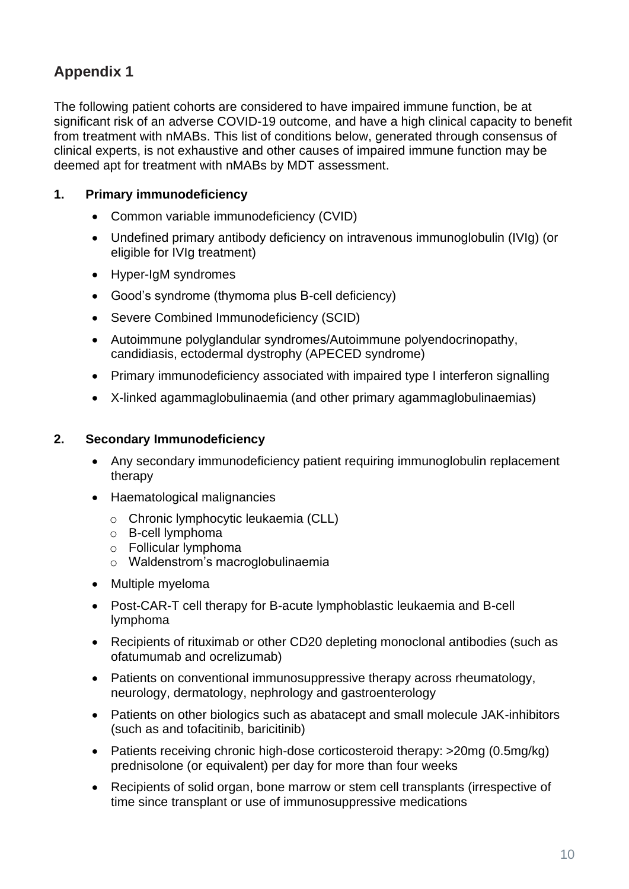# **Appendix 1**

The following patient cohorts are considered to have impaired immune function, be at significant risk of an adverse COVID-19 outcome, and have a high clinical capacity to benefit from treatment with nMABs. This list of conditions below, generated through consensus of clinical experts, is not exhaustive and other causes of impaired immune function may be deemed apt for treatment with nMABs by MDT assessment.

# **1. Primary immunodeficiency**

- Common variable immunodeficiency (CVID)
- Undefined primary antibody deficiency on intravenous immunoglobulin (IVIg) (or eligible for IVIg treatment)
- Hyper-IgM syndromes
- Good's syndrome (thymoma plus B-cell deficiency)
- Severe Combined Immunodeficiency (SCID)
- Autoimmune polyglandular syndromes/Autoimmune polyendocrinopathy, candidiasis, ectodermal dystrophy (APECED syndrome)
- Primary immunodeficiency associated with impaired type I interferon signalling
- X-linked agammaglobulinaemia (and other primary agammaglobulinaemias)

# **2. Secondary Immunodeficiency**

- Any secondary immunodeficiency patient requiring immunoglobulin replacement therapy
- Haematological malignancies
	- o Chronic lymphocytic leukaemia (CLL)
	- o B-cell lymphoma
	- o Follicular lymphoma
	- o Waldenstrom's macroglobulinaemia
- Multiple myeloma
- Post-CAR-T cell therapy for B-acute lymphoblastic leukaemia and B-cell lymphoma
- Recipients of rituximab or other CD20 depleting monoclonal antibodies (such as ofatumumab and ocrelizumab)
- Patients on conventional immunosuppressive therapy across rheumatology, neurology, dermatology, nephrology and gastroenterology
- Patients on other biologics such as abatacept and small molecule JAK-inhibitors (such as and tofacitinib, baricitinib)
- Patients receiving chronic high-dose corticosteroid therapy: >20mg (0.5mg/kg) prednisolone (or equivalent) per day for more than four weeks
- Recipients of solid organ, bone marrow or stem cell transplants (irrespective of time since transplant or use of immunosuppressive medications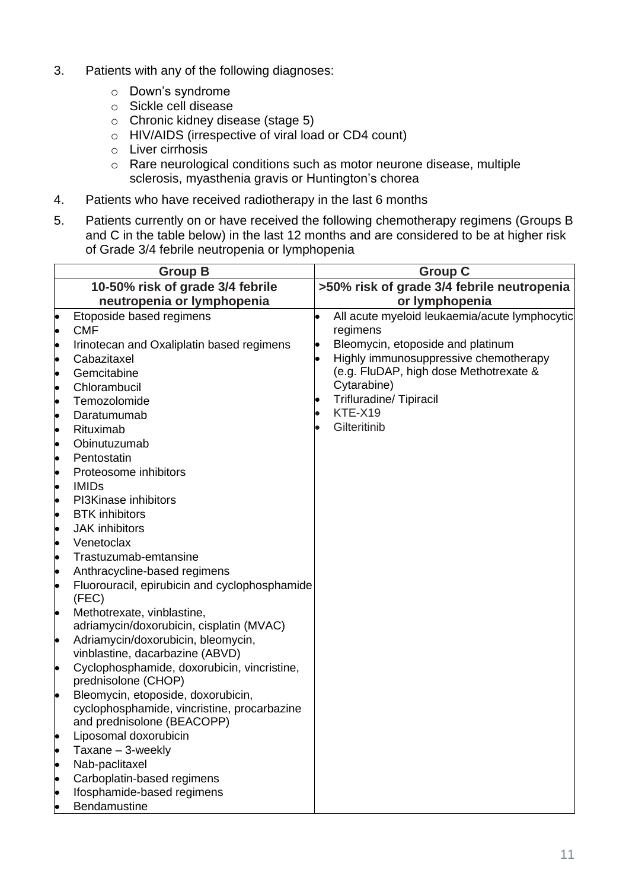- 3. Patients with any of the following diagnoses:
	- o Down's syndrome
	- o Sickle cell disease
	- o Chronic kidney disease (stage 5)
	- o HIV/AIDS (irrespective of viral load or CD4 count)
	- o Liver cirrhosis
	- o Rare neurological conditions such as motor neurone disease, multiple sclerosis, myasthenia gravis or Huntington's chorea
- 4. Patients who have received radiotherapy in the last 6 months
- 5. Patients currently on or have received the following chemotherapy regimens (Groups B and C in the table below) in the last 12 months and are considered to be at higher risk of Grade 3/4 febrile neutropenia or lymphopenia

|           | <b>Group B</b>                                                                 | <b>Group C</b>                             |                                               |
|-----------|--------------------------------------------------------------------------------|--------------------------------------------|-----------------------------------------------|
|           | 10-50% risk of grade 3/4 febrile                                               | >50% risk of grade 3/4 febrile neutropenia |                                               |
|           | neutropenia or lymphopenia                                                     |                                            | or lymphopenia                                |
|           | Etoposide based regimens                                                       |                                            | All acute myeloid leukaemia/acute lymphocytic |
| $\bullet$ | <b>CMF</b>                                                                     |                                            | regimens                                      |
| $\bullet$ | Irinotecan and Oxaliplatin based regimens                                      |                                            | Bleomycin, etoposide and platinum             |
| $\bullet$ | Cabazitaxel                                                                    |                                            | Highly immunosuppressive chemotherapy         |
| $\bullet$ | Gemcitabine                                                                    |                                            | (e.g. FluDAP, high dose Methotrexate &        |
| $\bullet$ | Chlorambucil                                                                   |                                            | Cytarabine)                                   |
| lo        | Temozolomide                                                                   |                                            | <b>Trifluradine/ Tipiracil</b>                |
| $\bullet$ | Daratumumab                                                                    |                                            | KTE-X19                                       |
| lo        | Rituximab                                                                      |                                            | Gilteritinib                                  |
| $\bullet$ | Obinutuzumab                                                                   |                                            |                                               |
| $\bullet$ | Pentostatin                                                                    |                                            |                                               |
| $\bullet$ | Proteosome inhibitors                                                          |                                            |                                               |
| lo        | <b>IMIDs</b>                                                                   |                                            |                                               |
| $\bullet$ | PI3Kinase inhibitors                                                           |                                            |                                               |
| $\bullet$ | <b>BTK</b> inhibitors                                                          |                                            |                                               |
| $\bullet$ | <b>JAK</b> inhibitors                                                          |                                            |                                               |
| $\bullet$ | Venetoclax                                                                     |                                            |                                               |
| lo        | Trastuzumab-emtansine                                                          |                                            |                                               |
| $\bullet$ | Anthracycline-based regimens                                                   |                                            |                                               |
| $\bullet$ | Fluorouracil, epirubicin and cyclophosphamide<br>(FEC)                         |                                            |                                               |
| $\bullet$ | Methotrexate, vinblastine,                                                     |                                            |                                               |
|           | adriamycin/doxorubicin, cisplatin (MVAC)                                       |                                            |                                               |
| $\bullet$ | Adriamycin/doxorubicin, bleomycin,                                             |                                            |                                               |
| $\bullet$ | vinblastine, dacarbazine (ABVD)<br>Cyclophosphamide, doxorubicin, vincristine, |                                            |                                               |
|           | prednisolone (CHOP)                                                            |                                            |                                               |
| l.        | Bleomycin, etoposide, doxorubicin,                                             |                                            |                                               |
|           | cyclophosphamide, vincristine, procarbazine                                    |                                            |                                               |
|           | and prednisolone (BEACOPP)                                                     |                                            |                                               |
|           | Liposomal doxorubicin                                                          |                                            |                                               |
|           | Taxane - 3-weekly                                                              |                                            |                                               |
| $\bullet$ | Nab-paclitaxel                                                                 |                                            |                                               |
|           | Carboplatin-based regimens                                                     |                                            |                                               |
|           | Ifosphamide-based regimens<br>Bendamustine                                     |                                            |                                               |
|           |                                                                                |                                            |                                               |